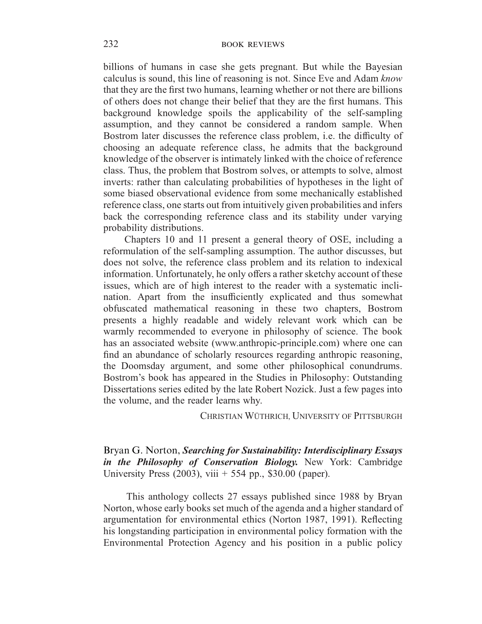billions of humans in case she gets pregnant. But while the Bayesian calculus is sound, this line of reasoning is not. Since Eve and Adam know that they are the first two humans, learning whether or not there are billions of others does not change their belief that they are the first humans. This background knowledge spoils the applicability of the self-sampling assumption, and they cannot be considered a random sample. When Bostrom later discusses the reference class problem, i.e. the difficulty of choosing an adequate reference class, he admits that the background knowledge of the observer is intimately linked with the choice of reference class. Thus, the problem that Bostrom solves, or attempts to solve, almost inverts: rather than calculating probabilities of hypotheses in the light of some biased observational evidence from some mechanically established reference class, one starts out from intuitively given probabilities and infers back the corresponding reference class and its stability under varying probability distributions.

Chapters 10 and 11 present a general theory of OSE, including a reformulation of the self-sampling assumption. The author discusses, but does not solve, the reference class problem and its relation to indexical information. Unfortunately, he only offers a rather sketchy account of these issues, which are of high interest to the reader with a systematic inclination. Apart from the insufficiently explicated and thus somewhat obfuscated mathematical reasoning in these two chapters, Bostrom presents a highly readable and widely relevant work which can be warmly recommended to everyone in philosophy of science. The book has an associated website (www.anthropic-principle.com) where one can find an abundance of scholarly resources regarding anthropic reasoning, the Doomsday argument, and some other philosophical conundrums. Bostrom's book has appeared in the Studies in Philosophy: Outstanding Dissertations series edited by the late Robert Nozick. Just a few pages into the volume, and the reader learns why.

## CHRISTIAN WÜTHRICH, UNIVERSITY OF PITTSBURGH

## Bryan G. Norton, Searching for Sustainability: Interdisciplinary Essays in the Philosophy of Conservation Biology. New York: Cambridge University Press (2003), viii  $+ 554$  pp., \$30.00 (paper).

This anthology collects 27 essays published since 1988 by Bryan Norton, whose early books set much of the agenda and a higher standard of argumentation for environmental ethics (Norton 1987, 1991). Reflecting his longstanding participation in environmental policy formation with the Environmental Protection Agency and his position in a public policy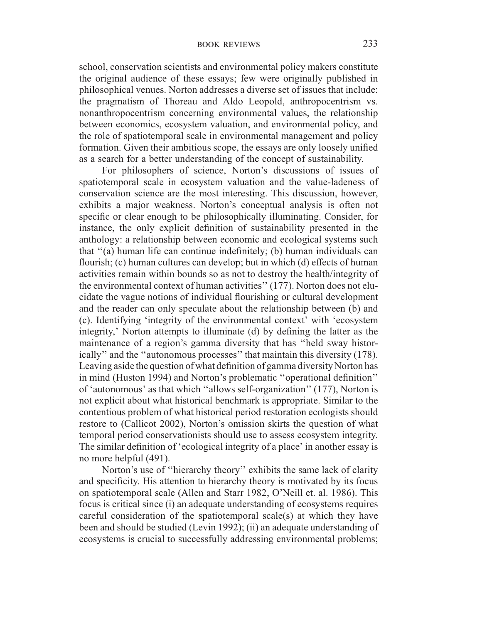school, conservation scientists and environmental policy makers constitute the original audience of these essays; few were originally published in philosophical venues. Norton addresses a diverse set of issues that include: the pragmatism of Thoreau and Aldo Leopold, anthropocentrism vs. nonanthropocentrism concerning environmental values, the relationship between economics, ecosystem valuation, and environmental policy, and the role of spatiotemporal scale in environmental management and policy formation. Given their ambitious scope, the essays are only loosely unified as a search for a better understanding of the concept of sustainability.

For philosophers of science, Norton's discussions of issues of spatiotemporal scale in ecosystem valuation and the value-ladeness of conservation science are the most interesting. This discussion, however, exhibits a major weakness. Norton's conceptual analysis is often not specific or clear enough to be philosophically illuminating. Consider, for instance, the only explicit definition of sustainability presented in the anthology: a relationship between economic and ecological systems such that ''(a) human life can continue indefinitely; (b) human individuals can flourish; (c) human cultures can develop; but in which (d) effects of human activities remain within bounds so as not to destroy the health/integrity of the environmental context of human activities'' (177). Norton does not elucidate the vague notions of individual flourishing or cultural development and the reader can only speculate about the relationship between (b) and (c). Identifying 'integrity of the environmental context' with 'ecosystem integrity,' Norton attempts to illuminate (d) by defining the latter as the maintenance of a region's gamma diversity that has ''held sway historically'' and the ''autonomous processes'' that maintain this diversity (178). Leaving aside the question of what definition of gamma diversity Norton has in mind (Huston 1994) and Norton's problematic ''operational definition'' of 'autonomous' as that which ''allows self-organization'' (177), Norton is not explicit about what historical benchmark is appropriate. Similar to the contentious problem of what historical period restoration ecologists should restore to (Callicot 2002), Norton's omission skirts the question of what temporal period conservationists should use to assess ecosystem integrity. The similar definition of 'ecological integrity of a place' in another essay is no more helpful (491).

Norton's use of ''hierarchy theory'' exhibits the same lack of clarity and specificity. His attention to hierarchy theory is motivated by its focus on spatiotemporal scale (Allen and Starr 1982, O'Neill et. al. 1986). This focus is critical since (i) an adequate understanding of ecosystems requires careful consideration of the spatiotemporal scale(s) at which they have been and should be studied (Levin 1992); (ii) an adequate understanding of ecosystems is crucial to successfully addressing environmental problems;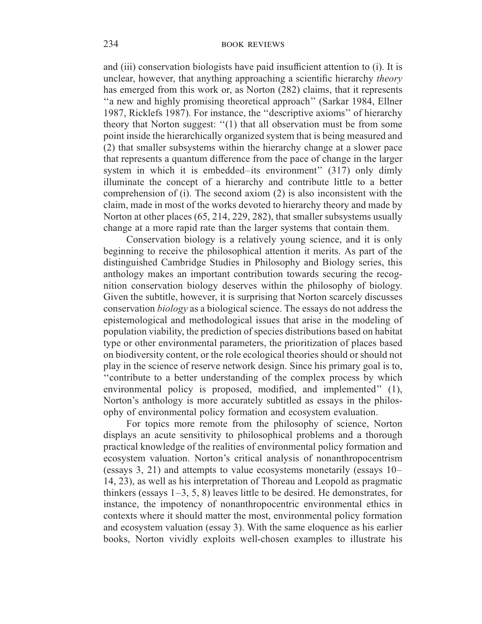and (iii) conservation biologists have paid insufficient attention to (i). It is unclear, however, that anything approaching a scientific hierarchy theory has emerged from this work or, as Norton (282) claims, that it represents ''a new and highly promising theoretical approach'' (Sarkar 1984, Ellner 1987, Ricklefs 1987). For instance, the ''descriptive axioms'' of hierarchy theory that Norton suggest: "(1) that all observation must be from some point inside the hierarchically organized system that is being measured and (2) that smaller subsystems within the hierarchy change at a slower pace that represents a quantum difference from the pace of change in the larger system in which it is embedded–its environment'' (317) only dimly illuminate the concept of a hierarchy and contribute little to a better comprehension of (i). The second axiom (2) is also inconsistent with the claim, made in most of the works devoted to hierarchy theory and made by Norton at other places (65, 214, 229, 282), that smaller subsystems usually change at a more rapid rate than the larger systems that contain them.

Conservation biology is a relatively young science, and it is only beginning to receive the philosophical attention it merits. As part of the distinguished Cambridge Studies in Philosophy and Biology series, this anthology makes an important contribution towards securing the recognition conservation biology deserves within the philosophy of biology. Given the subtitle, however, it is surprising that Norton scarcely discusses conservation biology as a biological science. The essays do not address the epistemological and methodological issues that arise in the modeling of population viability, the prediction of species distributions based on habitat type or other environmental parameters, the prioritization of places based on biodiversity content, or the role ecological theories should or should not play in the science of reserve network design. Since his primary goal is to, ''contribute to a better understanding of the complex process by which environmental policy is proposed, modified, and implemented'' (1), Norton's anthology is more accurately subtitled as essays in the philosophy of environmental policy formation and ecosystem evaluation.

For topics more remote from the philosophy of science, Norton displays an acute sensitivity to philosophical problems and a thorough practical knowledge of the realities of environmental policy formation and ecosystem valuation. Norton's critical analysis of nonanthropocentrism (essays 3, 21) and attempts to value ecosystems monetarily (essays 10– 14, 23), as well as his interpretation of Thoreau and Leopold as pragmatic thinkers (essays  $1-3$ , 5, 8) leaves little to be desired. He demonstrates, for instance, the impotency of nonanthropocentric environmental ethics in contexts where it should matter the most, environmental policy formation and ecosystem valuation (essay 3). With the same eloquence as his earlier books, Norton vividly exploits well-chosen examples to illustrate his